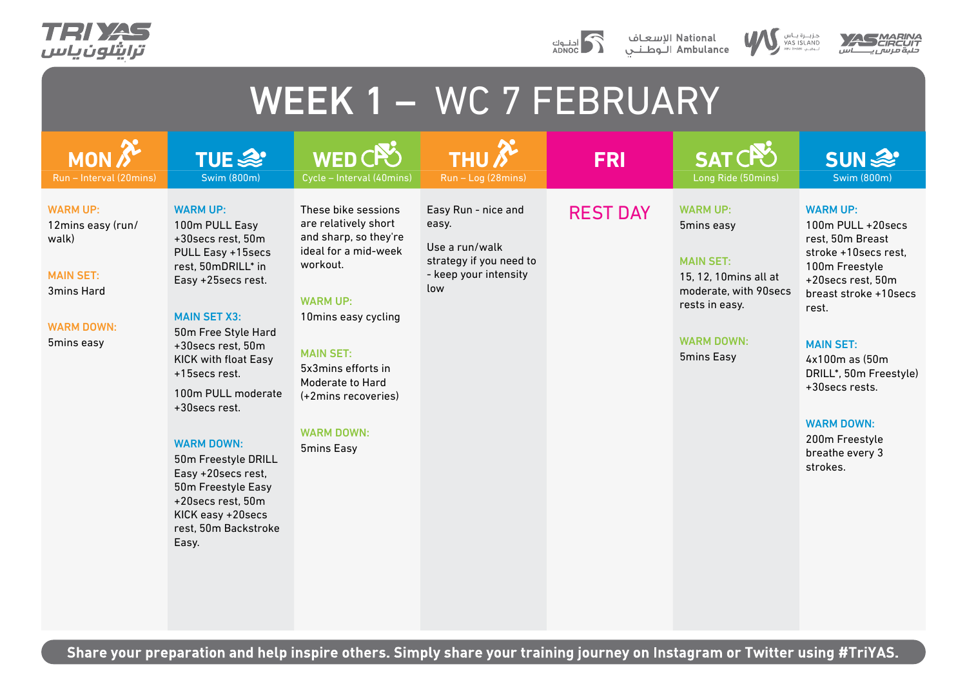



الإسعـاف National<br>الـــوطـــلـــــن



# WEEK 1  $-$  WC 7 FEBRUARY

| Run - Interval (20mins)                                                                                            | <b>TUE 念</b><br><b>Swim (800m)</b>                                                                                                                                                                                                                                                                                                                                                                                                                    | WEDCAS<br>Cycle - Interval (40mins)                                                                                                                                                                                                                                        | <b>THU A2</b><br>Run - Log (28mins)                                                                       | <b>FRI</b>      | SATCAS<br>Long Ride (50mins)                                                                                                                              | <b>SUN &amp;</b><br><b>Swim (800m)</b>                                                                                                                                                                                                                                                                                  |
|--------------------------------------------------------------------------------------------------------------------|-------------------------------------------------------------------------------------------------------------------------------------------------------------------------------------------------------------------------------------------------------------------------------------------------------------------------------------------------------------------------------------------------------------------------------------------------------|----------------------------------------------------------------------------------------------------------------------------------------------------------------------------------------------------------------------------------------------------------------------------|-----------------------------------------------------------------------------------------------------------|-----------------|-----------------------------------------------------------------------------------------------------------------------------------------------------------|-------------------------------------------------------------------------------------------------------------------------------------------------------------------------------------------------------------------------------------------------------------------------------------------------------------------------|
| <b>WARM UP:</b><br>12mins easy (run/<br>walk)<br><b>MAIN SET:</b><br>3mins Hard<br><b>WARM DOWN:</b><br>5mins easy | <b>WARM UP:</b><br>100m PULL Easy<br>+30secs rest, 50m<br>PULL Easy +15secs<br>rest, 50mDRILL* in<br>Easy +25 secs rest.<br><b>MAIN SET X3:</b><br>50m Free Style Hard<br>+30secs rest, 50m<br><b>KICK with float Easy</b><br>+15secs rest.<br>100m PULL moderate<br>+30secs rest.<br><b>WARM DOWN:</b><br>50m Freestyle DRILL<br>Easy +20secs rest,<br>50m Freestyle Easy<br>+20secs rest, 50m<br>KICK easy +20secs<br>rest, 50m Backstroke<br>Easy. | These bike sessions<br>are relatively short<br>and sharp, so they're<br>ideal for a mid-week<br>workout.<br><b>WARM UP:</b><br>10mins easy cycling<br><b>MAIN SET:</b><br>5x3mins efforts in<br>Moderate to Hard<br>(+2mins recoveries)<br><b>WARM DOWN:</b><br>5mins Easy | Easy Run - nice and<br>easy.<br>Use a run/walk<br>strategy if you need to<br>- keep your intensity<br>low | <b>REST DAY</b> | <b>WARM UP:</b><br>5mins easy<br><b>MAIN SET:</b><br>15, 12, 10 mins all at<br>moderate, with 90secs<br>rests in easy.<br><b>WARM DOWN:</b><br>5mins Easy | <b>WARM UP:</b><br>100m PULL +20secs<br>rest, 50m Breast<br>stroke +10secs rest.<br>100m Freestyle<br>+20secs rest, 50m<br>breast stroke +10secs<br>rest.<br><b>MAIN SET:</b><br>$4x100m$ as $(50m)$<br>DRILL*, 50m Freestyle)<br>+30 secs rests.<br><b>WARM DOWN:</b><br>200m Freestyle<br>breathe every 3<br>strokes. |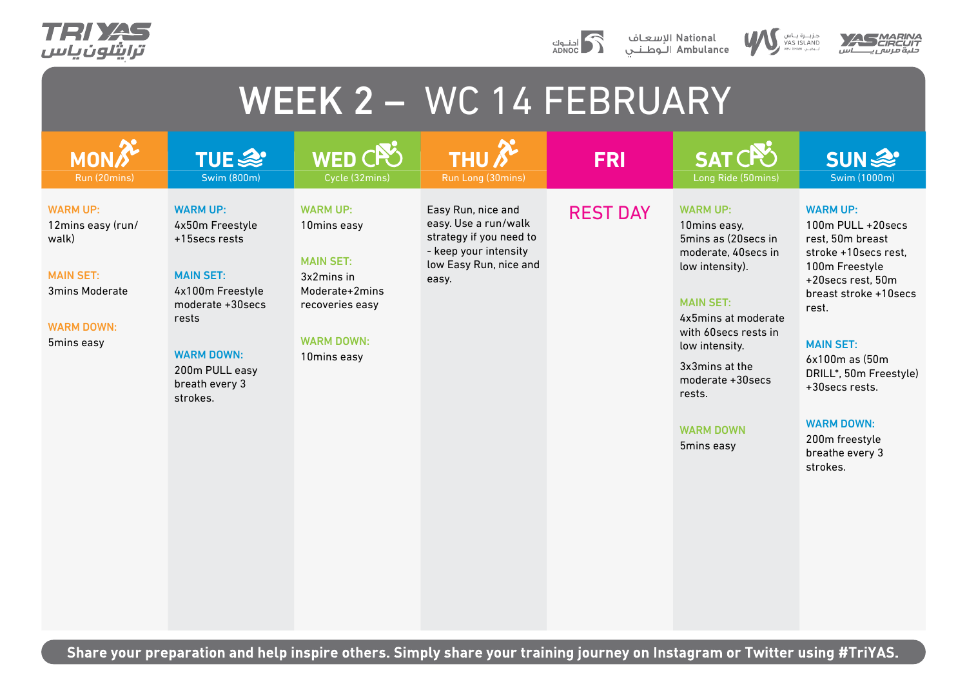







#### WEEK 2 - WC 14 FEBRUARY

| Run (20mins)                                                                                                           | <b>TUE 念</b><br>Swim (800m)                                                                                                                                                                    | WED CPS<br>Cycle (32mins)                                                                                                                    | <b>THU X2</b><br>Run Long (30mins)                                                                                                | <b>FRI</b>      | <b>SATCPO</b><br>Long Ride (50mins)                                                                                                                                                                                                                                        | <b>SUN &amp;</b><br>Swim (1000m)                                                                                                                                                                                                                                                                                   |
|------------------------------------------------------------------------------------------------------------------------|------------------------------------------------------------------------------------------------------------------------------------------------------------------------------------------------|----------------------------------------------------------------------------------------------------------------------------------------------|-----------------------------------------------------------------------------------------------------------------------------------|-----------------|----------------------------------------------------------------------------------------------------------------------------------------------------------------------------------------------------------------------------------------------------------------------------|--------------------------------------------------------------------------------------------------------------------------------------------------------------------------------------------------------------------------------------------------------------------------------------------------------------------|
| <b>WARM UP:</b><br>12mins easy (run/<br>walk)<br><b>MAIN SET:</b><br>3mins Moderate<br><b>WARM DOWN:</b><br>5mins easy | <b>WARM UP:</b><br>4x50m Freestyle<br>+15secs rests<br><b>MAIN SET:</b><br>4x100m Freestyle<br>moderate +30 secs<br>rests<br><b>WARM DOWN:</b><br>200m PULL easy<br>breath every 3<br>strokes. | <b>WARM UP:</b><br>10mins easy<br><b>MAIN SET:</b><br>$3x2$ mins in<br>Moderate+2mins<br>recoveries easy<br><b>WARM DOWN:</b><br>10mins easy | Easy Run, nice and<br>easy. Use a run/walk<br>strategy if you need to<br>- keep your intensity<br>low Easy Run, nice and<br>easy. | <b>REST DAY</b> | <b>WARM UP:</b><br>10mins easy,<br>5mins as (20secs in<br>moderate, 40 secs in<br>low intensity).<br><b>MAIN SET:</b><br>4x5mins at moderate<br>with 60 secs rests in<br>low intensity.<br>3x3mins at the<br>moderate +30 secs<br>rests.<br><b>WARM DOWN</b><br>5mins easy | <b>WARM UP:</b><br>100m PULL +20secs<br>rest, 50m breast<br>stroke +10secs rest.<br>100m Freestyle<br>+20secs rest, 50m<br>breast stroke +10 secs<br>rest.<br><b>MAIN SET:</b><br>6x100m as (50m<br>DRILL*, 50m Freestyle)<br>+30secs rests.<br><b>WARM DOWN:</b><br>200m freestyle<br>breathe every 3<br>strokes. |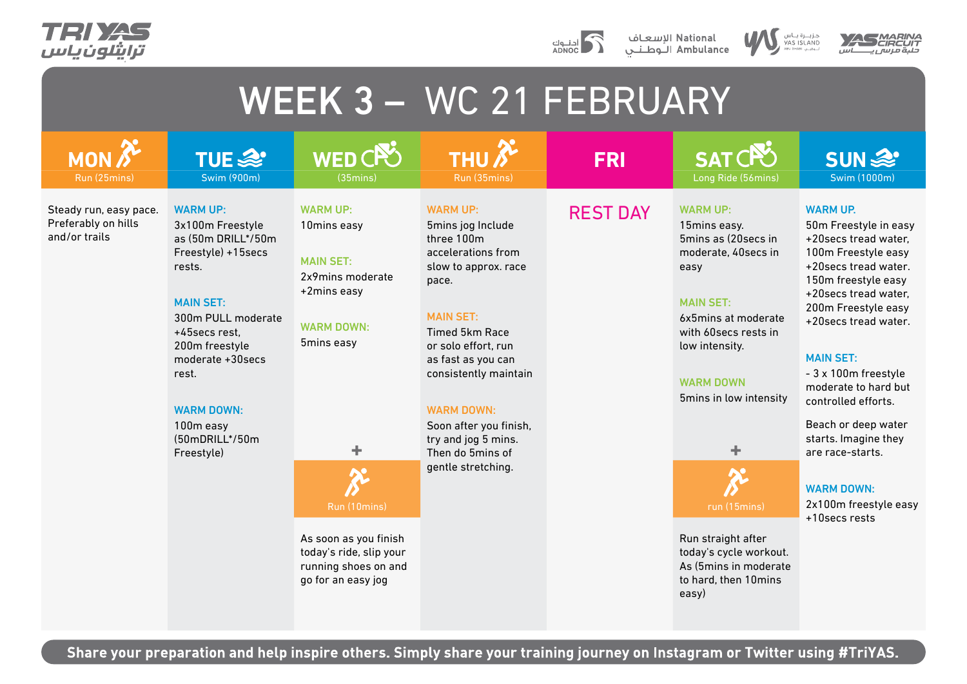



National الاسعـاف الـــوطـــلــدي Ambulance



جزیـــرة یـــاس<br>VAS ISLAND

# $WEEK$  3 – WC 21 FEBRUARY

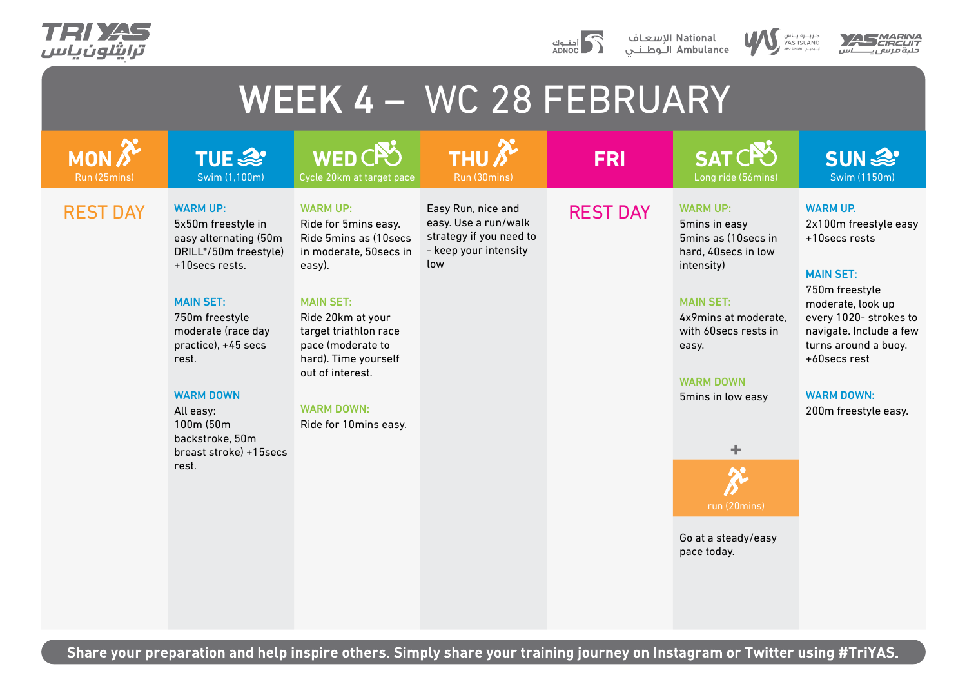







#### WEEK  $4 - WC$  28 FEBRUARY



Share your preparation and help inspire others. Simply share your training journey on Instagram or Twitter using #TriYAS.